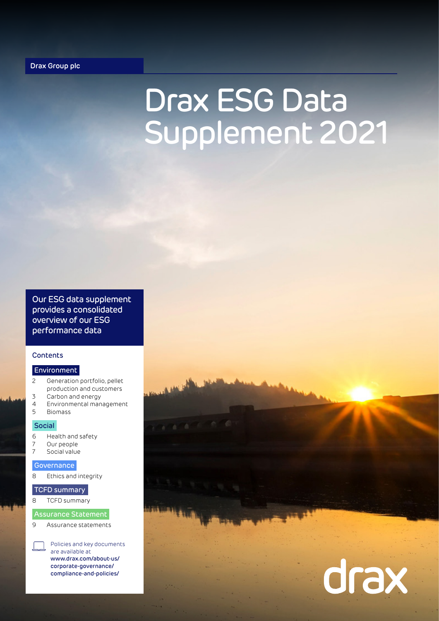## Drax ESG Data Supplement 2021

Our ESG data supplement provides a consolidated overview of our ESG performance data

### **Contents**

### Environment

- 2 Generation portfolio, pellet production and customers
- 3 Carbon and energy
- 4 Environmental management
- 5 Biomass

### Social

- 6 Health and safety
- 7 Our people<br>7 Social value
- Social value

### **Governance**

8 Ethics and integrity

### TCFD summary

### 8 TCFD summary

### Assurance Statement

9 Assurance statements

Policies and key documents are available at [www.drax.com/about-us/](http://www.drax.com/about-us/corporate-governance/compliance-and-policies/) [corporate-governance/](http://www.drax.com/about-us/corporate-governance/compliance-and-policies/) [compliance-and-policies/](http://www.drax.com/about-us/corporate-governance/compliance-and-policies/)

# drax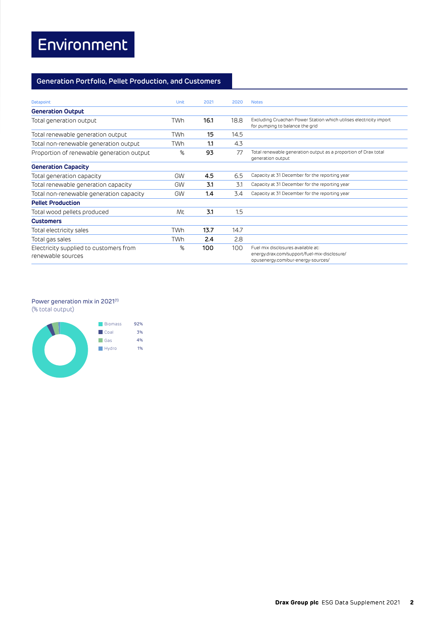### **Generation Portfolio, Pellet Production, and Customers**

| Datapoint                                                   | Unit       | 2021 | 2020 | <b>Notes</b>                                                                                                             |
|-------------------------------------------------------------|------------|------|------|--------------------------------------------------------------------------------------------------------------------------|
| <b>Generation Output</b>                                    |            |      |      |                                                                                                                          |
| Total generation output                                     | <b>TWh</b> | 16.1 | 18.8 | Excluding Cruachan Power Station which utilises electricity import<br>for pumping to balance the grid                    |
| Total renewable generation output                           | TWh.       | 15   | 14.5 |                                                                                                                          |
| Total non-renewable generation output                       | TWh        | 1.1  | 4.3  |                                                                                                                          |
| Proportion of renewable generation output                   | %          | 93   | 77   | Total renewable generation output as a proportion of Drax total<br>generation output                                     |
| <b>Generation Capacity</b>                                  |            |      |      |                                                                                                                          |
| Total generation capacity                                   | GW         | 4.5  | 6.5  | Capacity at 31 December for the reporting year                                                                           |
| Total renewable generation capacity                         | GW         | 3.1  | 3.1  | Capacity at 31 December for the reporting year                                                                           |
| Total non-renewable generation capacity                     | GW         | 1.4  | 3.4  | Capacity at 31 December for the reporting year                                                                           |
| <b>Pellet Production</b>                                    |            |      |      |                                                                                                                          |
| Total wood pellets produced                                 | Mt         | 3.1  | 1.5  |                                                                                                                          |
| <b>Customers</b>                                            |            |      |      |                                                                                                                          |
| Total electricity sales                                     | <b>TWh</b> | 13.7 | 14.7 |                                                                                                                          |
| Total gas sales                                             | <b>TWh</b> | 2.4  | 2.8  |                                                                                                                          |
| Electricity supplied to customers from<br>renewable sources | %          | 100  | 100  | Fuel mix disclosures available at:<br>energy.drax.com/support/fuel-mix-disclosure/<br>opusenergy.com/our-energy-sources/ |

### Power generation mix in 2021<sup>(1)</sup>

(% total output)

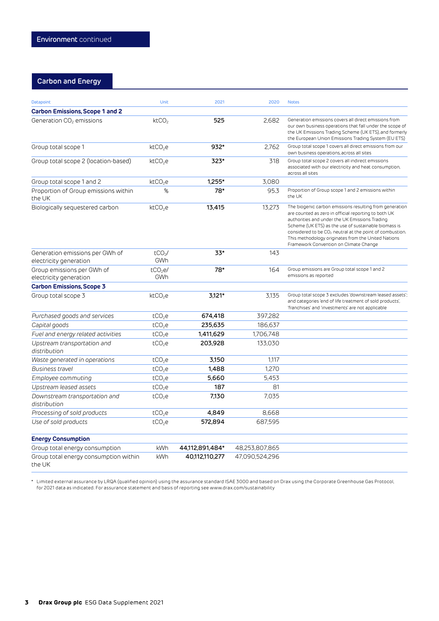### **Carbon and Energy**

| <b>Datapoint</b>                                          | Unit                             | 2021            | 2020           | <b>Notes</b>                                                                                                                                                                                                                                                                                                                                                                                       |
|-----------------------------------------------------------|----------------------------------|-----------------|----------------|----------------------------------------------------------------------------------------------------------------------------------------------------------------------------------------------------------------------------------------------------------------------------------------------------------------------------------------------------------------------------------------------------|
| <b>Carbon Emissions, Scope 1 and 2</b>                    |                                  |                 |                |                                                                                                                                                                                                                                                                                                                                                                                                    |
| Generation CO <sub>2</sub> emissions                      | k <sub>2</sub> CO <sub>2</sub>   | 525             | 2.682          | Generation emissions covers all direct emissions from<br>our own business operations that fall under the scope of<br>the UK Emissions Trading Scheme (UK ETS), and formerly<br>the European Union Emissions Trading System (EU ETS)                                                                                                                                                                |
| Group total scope 1                                       | k <sub>c</sub> CO <sub>2</sub> e | 932*            | 2,762          | Group total scope 1 covers all direct emissions from our<br>own business operations, across all sites                                                                                                                                                                                                                                                                                              |
| Group total scope 2 (location-based)                      | ktCO <sub>2</sub> e              | 323*            | 318            | Group total scope 2 covers all indirect emissions<br>associated with our electricity and heat consumption,<br>across all sites                                                                                                                                                                                                                                                                     |
| Group total scope 1 and 2                                 | ktCO <sub>2</sub> e              | 1.255*          | 3,080          |                                                                                                                                                                                                                                                                                                                                                                                                    |
| Proportion of Group emissions within<br>the UK            | %                                | 78*             | 95.3           | Proportion of Group scope 1 and 2 emissions within<br>the UK                                                                                                                                                                                                                                                                                                                                       |
| Biologically sequestered carbon                           | $k$ t $CO2$ e                    | 13.415          | 13.273         | The biogenic carbon emissions resulting from generation<br>are counted as zero in official reporting to both UK<br>authorities and under the UK Emissions Trading<br>Scheme (UK ETS) as the use of sustainable biomass is<br>considered to be CO <sub>2</sub> neutral at the point of combustion.<br>This methodology originates from the United Nations<br>Framework Convention on Climate Change |
| Generation emissions per GWh of<br>electricity generation | $tCO2$ /<br>GWh                  | $33*$           | 143            |                                                                                                                                                                                                                                                                                                                                                                                                    |
| Group emissions per GWh of<br>electricity generation      | $tCO2$ e/<br>GWh                 | 78*             | 164            | Group emissions are Group total scope 1 and 2<br>emissions as reported                                                                                                                                                                                                                                                                                                                             |
| <b>Carbon Emissions, Scope 3</b>                          |                                  |                 |                |                                                                                                                                                                                                                                                                                                                                                                                                    |
| Group total scope 3                                       | ktCO <sub>2</sub> e              | 3,121*          | 3,135          | Group total scope 3 excludes 'downstream leased assets';<br>and categories 'end of life treatment of sold products',<br>'franchises' and 'investments' are not applicable                                                                                                                                                                                                                          |
| Purchased goods and services                              | tCO <sub>2</sub> e               | 674,418         | 397,282        |                                                                                                                                                                                                                                                                                                                                                                                                    |
| Capital goods                                             | tCO <sub>2</sub> e               | 235,635         | 186,637        |                                                                                                                                                                                                                                                                                                                                                                                                    |
| Fuel and energy related activities                        | tCO <sub>2</sub> e               | 1,411,629       | 1,706,748      |                                                                                                                                                                                                                                                                                                                                                                                                    |
| Upstream transportation and<br>distribution               | tCO <sub>2</sub> e               | 203,928         | 133,030        |                                                                                                                                                                                                                                                                                                                                                                                                    |
| Waste generated in operations                             | tCO <sub>2</sub> e               | 3,150           | 1,117          |                                                                                                                                                                                                                                                                                                                                                                                                    |
| Business travel                                           | tCO <sub>2</sub> e               | 1,488           | 1.270          |                                                                                                                                                                                                                                                                                                                                                                                                    |
| Employee commuting                                        | tCO <sub>2</sub> e               | 5.660           | 5,453          |                                                                                                                                                                                                                                                                                                                                                                                                    |
| Upstream leased assets                                    | tCO <sub>2</sub> e               | 187             | 81             |                                                                                                                                                                                                                                                                                                                                                                                                    |
| Downstream transportation and<br>distribution             | tCO <sub>2</sub> e               | 7,130           | 7,035          |                                                                                                                                                                                                                                                                                                                                                                                                    |
| Processing of sold products                               | tCO <sub>2</sub> e               | 4,849           | 8,668          |                                                                                                                                                                                                                                                                                                                                                                                                    |
| Use of sold products                                      | tCO <sub>2</sub> e               | 572,894         | 687,595        |                                                                                                                                                                                                                                                                                                                                                                                                    |
| <b>Energy Consumption</b>                                 |                                  |                 |                |                                                                                                                                                                                                                                                                                                                                                                                                    |
| Group total energy consumption                            | kWh                              | 44,112,891,484* | 48,253,807,865 |                                                                                                                                                                                                                                                                                                                                                                                                    |
| Group total energy consumption within<br>the UK           | <b>kWh</b>                       | 40,112,110,277  | 47,090,524,296 |                                                                                                                                                                                                                                                                                                                                                                                                    |

\* Limited external assurance by LRQA (qualified opinion) using the assurance standard ISAE 3000 and based on Drax using the Corporate Greenhouse Gas Protocol, for 2021 data as indicated. For assurance statement and basis of reporting see www.drax.com/sustainability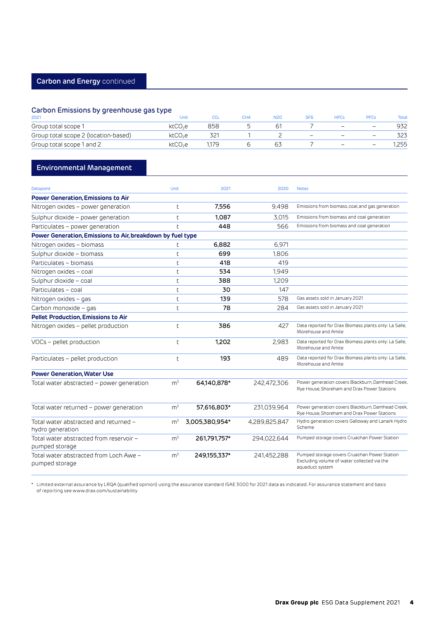### Carbon Emissions by greenhouse gas type

| 2021                                 | Jnit                |     | CH <sub>4</sub> | N20 |  |   | <b>Total</b> |
|--------------------------------------|---------------------|-----|-----------------|-----|--|---|--------------|
| Group total scope 1                  | ktCO <sub>2</sub> e | 358 |                 |     |  | _ | 932          |
| Group total scope 2 (location-based) | ktCO <sub>2</sub> e |     |                 |     |  | – |              |
| Group total scope 1 and 2            | ktCO <sub>2</sub> e |     |                 |     |  |   | .255         |

### **Environmental Management**

| Datapoint                                                  | Unit           | 2021           | 2020          | <b>Notes</b>                                                                                                   |
|------------------------------------------------------------|----------------|----------------|---------------|----------------------------------------------------------------------------------------------------------------|
| <b>Power Generation, Emissions to Air</b>                  |                |                |               |                                                                                                                |
| Nitrogen oxides - power generation                         | t              | 7.556          | 9.498         | Emissions from biomass, coal, and gas generation                                                               |
| Sulphur dioxide - power generation                         | t              | 1.087          | 3.015         | Emissions from biomass and coal generation                                                                     |
| Particulates - power generation                            | h              | 448            | 566           | Emissions from biomass and coal generation                                                                     |
| Power Generation, Emissions to Air, breakdown by fuel type |                |                |               |                                                                                                                |
| Nitrogen oxides - biomass                                  | t              | 6,882          | 6,971         |                                                                                                                |
| Sulphur dioxide - biomass                                  | t              | 699            | 1.806         |                                                                                                                |
| Particulates - biomass                                     | t              | 418            | 419           |                                                                                                                |
| Nitrogen oxides - coal                                     | t              | 534            | 1.949         |                                                                                                                |
| Sulphur dioxide - coal                                     | t              | 388            | 1,209         |                                                                                                                |
| Particulates - coal                                        | t              | 30             | 147           |                                                                                                                |
| Nitrogen oxides – gas                                      | t              | 139            | 578           | Gas assets sold in January 2021                                                                                |
| Carbon monoxide - gas                                      | t              | 78             | 284           | Gas assets sold in January 2021                                                                                |
| <b>Pellet Production, Emissions to Air</b>                 |                |                |               |                                                                                                                |
| Nitrogen oxides - pellet production                        | $\mathsf{t}$   | 386            | 427           | Data reported for Drax Biomass plants only: La Salle,<br>Morehouse and Amite                                   |
| VOCs - pellet production                                   | $\mathsf{t}$   | 1.202          | 2.983         | Data reported for Drax Biomass plants only: La Salle,<br>Morehouse and Amite                                   |
| Particulates - pellet production                           | $\mathsf{t}$   | 193            | 489           | Data reported for Drax Biomass plants only: La Salle,<br>Morehouse and Amite                                   |
| <b>Power Generation, Water Use</b>                         |                |                |               |                                                                                                                |
| Total water abstracted – power generation                  | m <sup>3</sup> | 64,140,878*    | 242.472.306   | Power generation covers Blackburn, Damhead Creek,<br>Rye House, Shoreham and Drax Power Stations               |
| Total water returned – power generation                    | m <sup>3</sup> | 57,616,803*    | 231,039,964   | Power generation covers Blackburn, Damhead Creek,<br>Rye House, Shoreham and Drax Power Stations               |
| Total water abstracted and returned -<br>hydro generation  | m <sup>3</sup> | 3,005,380,954* | 4.289.825.847 | Hydro generation covers Galloway and Lanark Hydro<br>Scheme                                                    |
| Total water abstracted from reservoir -<br>pumped storage  | m <sup>3</sup> | 261.791.757*   | 294.022.644   | Pumped storage covers Cruachan Power Station                                                                   |
| Total water abstracted from Loch Awe -<br>pumped storage   | m <sup>3</sup> | 249,155,337*   | 241.452.288   | Pumped storage covers Cruachan Power Station<br>Excluding volume of water collected via the<br>aqueduct system |

\* Limited external assurance by LRQA (qualified opinion) using the assurance standard ISAE 3000 for 2021 data as indicated. For assurance statement and basis of reporting see www.drax.com/sustainability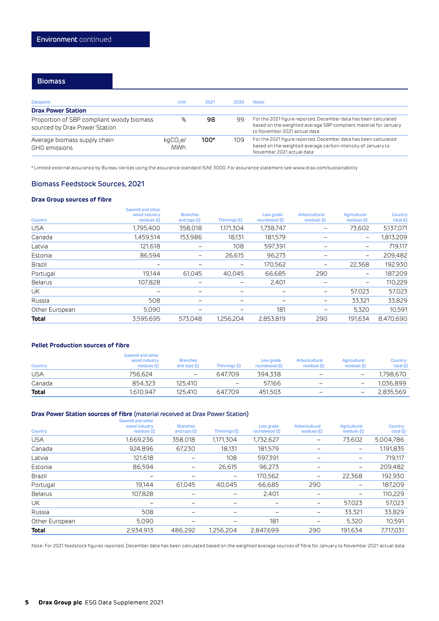### **Biomass**

| <b>Datapoint</b>                                                           | Unit                               | 2021 | 2020 | <b>Notes</b>                                                                                                                                                        |
|----------------------------------------------------------------------------|------------------------------------|------|------|---------------------------------------------------------------------------------------------------------------------------------------------------------------------|
| <b>Drax Power Station</b>                                                  |                                    |      |      |                                                                                                                                                                     |
| Proportion of SBP compliant woody biomass<br>sourced by Drax Power Station | %                                  | 98   | 99   | For the 2021 figure reported, December data has been calculated<br>based on the weighted average SBP compliant material for January<br>to November 2021 actual data |
| Average biomass supply chain<br><b>GHG</b> emissions                       | kqCO <sub>2</sub> e/<br><b>MWh</b> | 100* | 109  | For the 2021 figure reported, December data has been calculated<br>based on the weighted average carbon intensity of January to<br>November 2021 actual data        |

\* Limited external assurance by Bureau Veritas using the assurance standard ISAE 3000. For assurance statement see www.drax.com/sustainability

### Biomass Feedstock Sources, 2021

### **Drax Group sources of fibre**

| Country        | Sawmill and other<br>wood industry<br>residues (t) | <b>Branches</b><br>and tops (t) | Thinnings (t) | Low grade<br>roundwood (t) | Arboricultural<br>residues (t) | Agricultural<br>residues (t) | Country<br>total (t) |
|----------------|----------------------------------------------------|---------------------------------|---------------|----------------------------|--------------------------------|------------------------------|----------------------|
| <b>USA</b>     | 1,795,400                                          | 358,018                         | 1,171,304     | 1,738,747                  | $\qquad \qquad -$              | 73,602                       | 5,137,071            |
| Canada         | 1.459.514                                          | 153.986                         | 18.131        | 181.579                    | $\qquad \qquad -$              | $\qquad \qquad -$            | 1.813.209            |
| Latvia         | 121,618                                            | -                               | 108           | 597,391                    |                                |                              | 719,117              |
| Estonia        | 86,594                                             | -                               | 26,615        | 96,273                     |                                | $\qquad \qquad -$            | 209,482              |
| Brazil         |                                                    | -                               | -             | 170,562                    | $\qquad \qquad -$              | 22,368                       | 192,930              |
| Portugal       | 19.144                                             | 61,045                          | 40.045        | 66,685                     | 290                            | $\overline{\phantom{m}}$     | 187,209              |
| Belarus        | 107.828                                            |                                 |               | 2,401                      | $\qquad \qquad -$              | $\qquad \qquad -$            | 110,229              |
| UK             |                                                    | -                               |               |                            | $\qquad \qquad -$              | 57,023                       | 57,023               |
| Russia         | 508                                                | -                               |               |                            |                                | 33.321                       | 33,829               |
| Other European | 5.090                                              | -                               |               | 181                        |                                | 5.320                        | 10,591               |
| <b>Total</b>   | 3,595,695                                          | 573.048                         | 1.256.204     | 2,853,819                  | 290                            | 191.634                      | 8.470.690            |

### **Pellet Production sources of fibre**

| Country      | Sawmill and other<br>wood industry<br>residues (t) | <b>Branches</b><br>and tops (t) | Thinnings (t)            | Low grade<br>roundwood (t) | Arboricultural<br>residues (t) | Agricultural<br>residues (t) | Country<br>total (t) |
|--------------|----------------------------------------------------|---------------------------------|--------------------------|----------------------------|--------------------------------|------------------------------|----------------------|
| <b>USA</b>   | 756.624                                            | $\overline{\phantom{m}}$        | 647.709                  | 394.338                    | $\overline{\phantom{m}}$       | $\overline{\phantom{m}}$     | 1.798.670            |
| Canada       | 854.323                                            | 125.410                         | $\overline{\phantom{m}}$ | 57.166                     | $\qquad \qquad \blacksquare$   | $\overline{\phantom{a}}$     | 1.036.899            |
| <b>Total</b> | 1.610.947                                          | 125.410                         | 647.709                  | 451.503                    | $\qquad \qquad \blacksquare$   | $\qquad \qquad -$            | 2.835.569            |

### **Drax Power Station sources of fibre** (material received at Drax Power Station)

| Country        | Sawmill and other<br>wood industry<br>residues (t) | <b>Branches</b><br>and tops (t) | Thinnings (t)     | Low grade<br>roundwood (t) | Arboricultural<br>residues (t) | Agricultural<br>residues (t) | Country<br>total (t) |
|----------------|----------------------------------------------------|---------------------------------|-------------------|----------------------------|--------------------------------|------------------------------|----------------------|
| <b>USA</b>     | 1,669,236                                          | 358,018                         | 1,171,304         | 1,732,627                  |                                | 73,602                       | 5,004,786            |
| Canada         | 924.896                                            | 67,230                          | 18.131            | 181.579                    |                                | $\qquad \qquad -$            | 1,191,835            |
| Latvia         | 121.618                                            |                                 | 108               | 597,391                    |                                | -                            | 719,117              |
| Estonia        | 86,594                                             |                                 | 26,615            | 96,273                     |                                | -                            | 209,482              |
| Brazil         |                                                    |                                 | $\qquad \qquad -$ | 170.562                    |                                | 22.368                       | 192,930              |
| Portugal       | 19.144                                             | 61.045                          | 40.045            | 66.685                     | 290                            | —                            | 187,209              |
| Belarus        | 107,828                                            |                                 | $\qquad \qquad -$ | 2,401                      | -                              | -                            | 110,229              |
| UK             | $\qquad \qquad \blacksquare$                       |                                 | -                 |                            |                                | 57.023                       | 57,023               |
| Russia         | 508                                                |                                 |                   |                            |                                | 33.321                       | 33,829               |
| Other European | 5,090                                              |                                 |                   | 181                        |                                | 5,320                        | 10.591               |
| <b>Total</b>   | 2.934.913                                          | 486.292                         | 1.256.204         | 2.847.699                  | 290                            | 191.634                      | 7.717.031            |

Note: For 2021 feedstock figures reported, December data has been calculated based on the weighted average sources of fibre for January to November 2021 actual data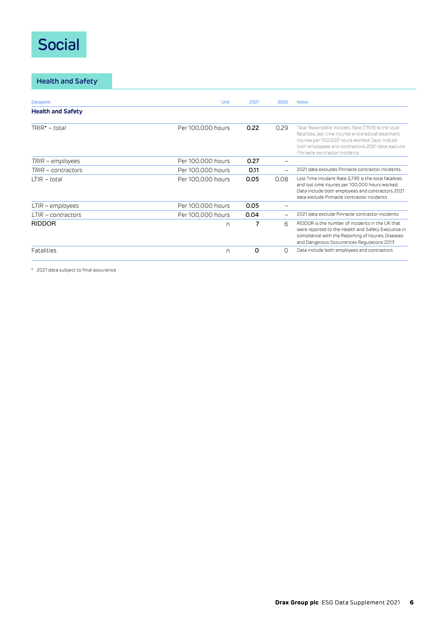### Social

**Health and Safety**

| Datapoint                | Unit              | 2021 | 2020 | <b>Notes</b>                                                                                                                                                                                                                                        |
|--------------------------|-------------------|------|------|-----------------------------------------------------------------------------------------------------------------------------------------------------------------------------------------------------------------------------------------------------|
| <b>Health and Safety</b> |                   |      |      |                                                                                                                                                                                                                                                     |
| $TRIR^* - total$         | Per 100,000 hours | 0.22 | 0.29 | Total Recordable Incident Rate (TRIR) is the total<br>fatalities, lost time injuries and medical treatment<br>injuries per 100,000 hours worked. Data include<br>both employees and contractors. 2021 data exclude<br>Pinnacle contractor incidents |
| TRIR – employees         | Per 100,000 hours | 0.27 |      |                                                                                                                                                                                                                                                     |
| TRIR – contractors       | Per 100,000 hours | 0.11 |      | 2021 data excludes Pinnacle contractor incidents.                                                                                                                                                                                                   |
| $LTIR - total$           | Per 100,000 hours | 0.05 | 0.08 | Lost Time Incident Rate (LTIR) is the total fatalities<br>and lost time injuries per 100,000 hours worked.<br>Data include both employees and contractors. 2021<br>data exclude Pinnacle contractor incidents                                       |
| $LTIR$ – employees       | Per 100,000 hours | 0.05 |      |                                                                                                                                                                                                                                                     |
| LTIR – contractors       | Per 100,000 hours | 0.04 |      | 2021 data exclude Pinnacle contractor incidents                                                                                                                                                                                                     |
| <b>RIDDOR</b>            | n                 | 7    | 6    | RIDDOR is the number of incidents in the UK that<br>were reported to the Health and Safety Executive in<br>compliance with the Reporting of Injuries, Diseases<br>and Dangerous Occurrences Regulations 2013                                        |
| Fatalities               | n                 | 0    | Ω    | Data include both employees and contractors                                                                                                                                                                                                         |

\* 2021 data subject to final assurance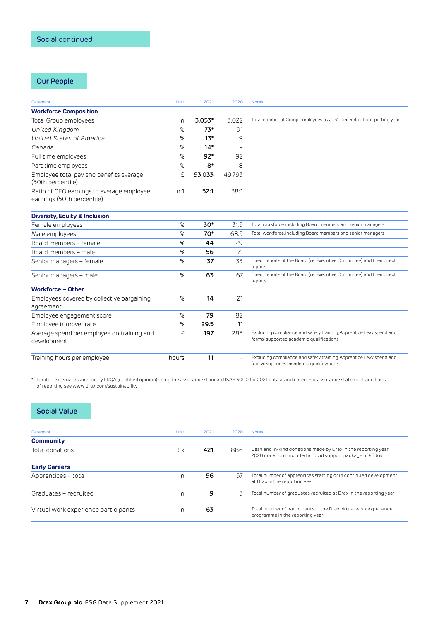### **Our People**

| <b>Datapoint</b>                                                        | <b>Unit</b> | 2021   | 2020                     | <b>Notes</b>                                                                                                    |
|-------------------------------------------------------------------------|-------------|--------|--------------------------|-----------------------------------------------------------------------------------------------------------------|
| <b>Workforce Composition</b>                                            |             |        |                          |                                                                                                                 |
| Total Group employees                                                   | n.          | 3,053* | 3,022                    | Total number of Group employees as at 31 December for reporting year                                            |
| United Kingdom                                                          | %           | $73*$  | 91                       |                                                                                                                 |
| United States of America                                                | %           | $13*$  | 9                        |                                                                                                                 |
| Canada                                                                  | %           | $14*$  | $\overline{\phantom{0}}$ |                                                                                                                 |
| Full time employees                                                     | %           | $92*$  | 92                       |                                                                                                                 |
| Part time employees                                                     | %           | 8*     | 8                        |                                                                                                                 |
| Employee total pay and benefits average<br>(50th percentile)            | £           | 53,033 | 49,793                   |                                                                                                                 |
| Ratio of CEO earnings to average employee<br>earnings (50th percentile) | n:1         | 52:1   | 38:1                     |                                                                                                                 |
| <b>Diversity, Equity &amp; Inclusion</b>                                |             |        |                          |                                                                                                                 |
| Female employees                                                        | %           | 30*    | 31.5                     | Total workforce, including Board members and senior managers                                                    |
| Male employees                                                          | %           | 70*    | 68.5                     | Total workforce, including Board members and senior managers                                                    |
| Board members - female                                                  | %           | 44     | 29                       |                                                                                                                 |
| Board members – male                                                    | %           | 56     | 71                       |                                                                                                                 |
| Senior managers - female                                                | %           | 37     | 33                       | Direct reports of the Board (i.e. Executive Committee) and their direct<br>reports                              |
| Senior managers - male                                                  | %           | 63     | 67                       | Direct reports of the Board (i.e. Executive Committee) and their direct<br>reports                              |
| <b>Workforce - Other</b>                                                |             |        |                          |                                                                                                                 |
| Employees covered by collective bargaining<br>agreement                 | %           | 14     | 21                       |                                                                                                                 |
| Employee engagement score                                               | %           | 79     | 82                       |                                                                                                                 |
| Employee turnover rate                                                  | %           | 29.5   | 11                       |                                                                                                                 |
| Average spend per employee on training and<br>development               | £           | 197    | 285                      | Excluding compliance and safety training, Apprentice Levy spend and<br>formal supported academic qualifications |
| Training hours per employee                                             | hours       | 11     |                          | Excluding compliance and safety training, Apprentice Levy spend and<br>formal supported academic qualifications |

\* Limited external assurance by LRQA (qualified opinion) using the assurance standard ISAE 3000 for 2021 data as indicated. For assurance statement and basis of reporting see www.drax.com/sustainability

### **Social Value**

| Datapoint                            | Unit | 2021 | 2020                     | <b>Notes</b>                                                                                                               |
|--------------------------------------|------|------|--------------------------|----------------------------------------------------------------------------------------------------------------------------|
| <b>Community</b>                     |      |      |                          |                                                                                                                            |
| Total donations                      | £k   | 421  | 886                      | Cash and in-kind donations made by Drax in the reporting year.<br>2020 donations included a Covid support package of £636k |
| <b>Early Careers</b>                 |      |      |                          |                                                                                                                            |
| Apprentices – total                  | n    | 56   | 57                       | Total number of apprentices starting or in continued development<br>at Drax in the reporting year                          |
| Graduates - recruited                | n    | 9    | 3                        | Total number of graduates recruited at Drax in the reporting year                                                          |
| Virtual work experience participants | n    | 63   | $\overline{\phantom{0}}$ | Total number of participants in the Drax virtual work experience<br>programme in the reporting year                        |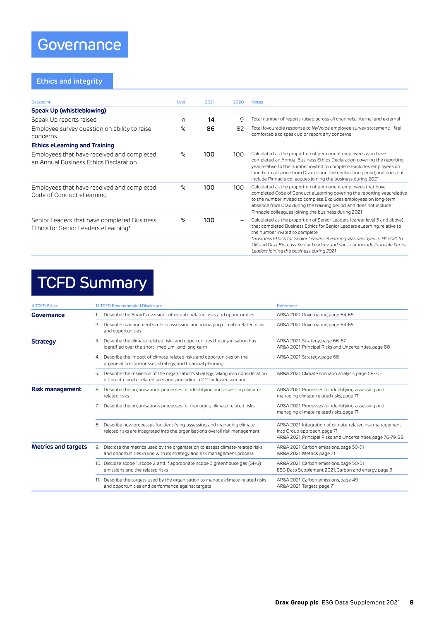### **Ethics and integrity**

| Datapoint                                                                           | Unit | 2021 | 2020         | <b>Notes</b>                                                                                                                                                                                                                                                                                                                                                                                |
|-------------------------------------------------------------------------------------|------|------|--------------|---------------------------------------------------------------------------------------------------------------------------------------------------------------------------------------------------------------------------------------------------------------------------------------------------------------------------------------------------------------------------------------------|
| Speak Up (whistleblowing)                                                           |      |      |              |                                                                                                                                                                                                                                                                                                                                                                                             |
| Speak Up reports raised                                                             | n    | 14   | $\mathsf{Q}$ | Total number of reports raised across all channels, internal and external                                                                                                                                                                                                                                                                                                                   |
| Employee survey question on ability to raise<br>concerns                            | %    | 86   | 82           | Total favourable response to MyVoice employee survey statement: I feel<br>comfortable to speak up or report any concerns                                                                                                                                                                                                                                                                    |
| <b>Ethics eLearning and Training</b>                                                |      |      |              |                                                                                                                                                                                                                                                                                                                                                                                             |
| Employees that have received and completed<br>an Annual Business Ethics Declaration | %    | 100  | 100          | Calculated as the proportion of permanent employees who have<br>completed an Annual Business Ethics Declaration covering the reporting<br>year, relative to the number invited to complete. Excludes employees on<br>long-term absence from Drax during the declaration period, and does not<br>include Pinnacle colleagues joining the business during 2021                                |
| Employees that have received and completed<br>Code of Conduct eLearning             | %    | 100  | 100          | Calculated as the proportion of permanent employees that have<br>completed Code of Conduct eLearning covering the reporting year, relative<br>to the number invited to complete. Excludes employees on long-term<br>absence from Drax during the training period, and does not include<br>Pinnacle colleagues joining the business during 2021                                              |
| Senior Leaders that have completed Business<br>Ethics for Senior Leaders eLearning* | %    | 100  |              | Calculated as the proportion of Senior Leaders (career level 3 and above)<br>that completed Business Ethics for Senior Leaders eLearning, relative to<br>the number invited to complete<br>*Business Ethics for Senior Leaders eLearning was deployed in H1 2021 to<br>UK and Drax Biomass Senior Leaders; and does not include Pinnacle Senior<br>Leaders joining the business during 2021 |

### TCFD Summary

| <b>4 TCFD Pillars</b>      | <b>11 TCFD Recommended Disclosure</b>                                                                                                                              | Reference                                                                                                                                                 |
|----------------------------|--------------------------------------------------------------------------------------------------------------------------------------------------------------------|-----------------------------------------------------------------------------------------------------------------------------------------------------------|
| Governance                 | Describe the Board's oversight of climate-related risks and opportunities                                                                                          | AR&A 2021, Governance, page 64-65                                                                                                                         |
|                            | Describe management's role in assessing and managing climate-related risks<br>2.<br>and opportunities                                                              | AR&A 2021, Governance, page 64-65                                                                                                                         |
| <b>Strategy</b>            | Describe the climate-related risks and opportunities the organisation has<br>3.<br>identified over the short-, medium-, and long-term                              | AR&A 2021, Strategy, page 66-67<br>AR&A 2021, Principal Risks and Uncertainties, page 88                                                                  |
|                            | Describe the impact of climate-related risks and opportunities on the<br>4.<br>organisation's businesses, strategy, and financial planning                         | AR&A 2021, Strategy, page 68                                                                                                                              |
|                            | Describe the resilience of the organisation's strategy, taking into consideration<br>5.<br>different climate related scenarios, including a 2 °C or lower scenario | AR&A 2021, Climate scenario analysis, page 68-70                                                                                                          |
| <b>Risk management</b>     | Describe the organisation's processes for identifying and assessing climate-<br>6.<br>related risks                                                                | AR&A 2021, Processes for identifying, assessing and<br>managing climate-related risks, page 71                                                            |
|                            | Describe the organisation's processes for managing climate-related risks                                                                                           | AR&A 2021, Processes for identifying, assessing and<br>managing climate-related risks, page 71                                                            |
|                            | Describe how processes for identifying, assessing, and managing climate-<br>8.<br>related risks are integrated into the organisation's overall risk management     | AR&A 2021, Integration of climate-related risk management<br>into Group approach, page 71<br>AR&A 2021, Principal Risks and Uncertainties, page 76-79, 88 |
| <b>Metrics and targets</b> | Disclose the metrics used by the organisation to assess climate-related risks<br>9.<br>and opportunities in line with its strategy and risk management process     | AR&A 2021, Carbon emissions, page 50-51<br>AR&A 2021, Metrics, page 71                                                                                    |
|                            | 10. Disclose scope 1, scope 2, and, if appropriate, scope 3 greenhouse gas (GHG)<br>emissions and the related risks.                                               | AR&A 2021, Carbon emissions, page 50-51<br>ESG Data Supplement 2021, Carbon and energy, page 3                                                            |
|                            | 11. Describe the targets used by the organisation to manage climate-related risks<br>and opportunities and performance against targets                             | AR&A 2021, Carbon emissions, page 49<br>AR&A 2021, Targets, page 71                                                                                       |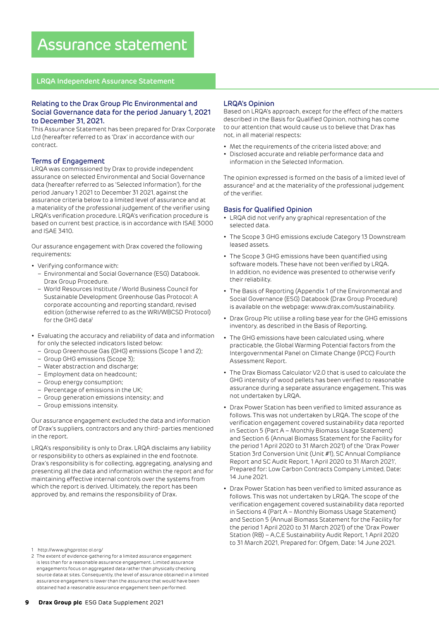### Assurance statement

### **LRQA Independent Assurance Statement**

### Relating to the Drax Group Plc Environmental and Social Governance data for the period January 1, 2021 to December 31, 2021.

This Assurance Statement has been prepared for Drax Corporate Ltd (hereafter referred to as 'Drax' in accordance with our contract.

### Terms of Engagement

LRQA was commissioned by Drax to provide independent assurance on selected Environmental and Social Governance data (hereafter referred to as 'Selected Information'), for the period January 1 2021 to December 31 2021, against the assurance criteria below to a limited level of assurance and at a materiality of the professional judgement of the verifier using LRQA's verification procedure. LRQA's verification procedure is based on current best practice, is in accordance with ISAE 3000 and ISAE 3410.

Our assurance engagement with Drax covered the following requirements:

- Verifying conformance with:
	- Environmental and Social Governance (ESG) Databook. Drax Group Procedure.
	- World Resources Institute / World Business Council for Sustainable Development Greenhouse Gas Protocol: A corporate accounting and reporting standard, revised edition (otherwise referred to as the WRI/WBCSD Protocol) for the GHG data<sup>1</sup>
- Evaluating the accuracy and reliability of data and information for only the selected indicators listed below:
	- Group Greenhouse Gas (GHG) emissions (Scope 1 and 2);
	- Group GHG emissions (Scope 3);
	- Water abstraction and discharge;
	- Employment data on headcount;
	- Group energy consumption;
	- Percentage of emissions in the UK;
	- Group generation emissions intensity; and
	- Group emissions intensity.

Our assurance engagement excluded the data and information of Drax's suppliers, contractors and any third- parties mentioned in the report.

LRQA's responsibility is only to Drax. LRQA disclaims any liability or responsibility to others as explained in the end footnote. Drax's responsibility is for collecting, aggregating, analysing and presenting all the data and information within the report and for maintaining effective internal controls over the systems from which the report is derived. Ultimately, the report has been approved by, and remains the responsibility of Drax.

- 1 http://www.ghgprotoc ol.org/
- 2 The extent of evidence-gathering for a limited assurance engagement is less than for a reasonable assurance engagement. Limited assurance engagements focus on aggregated data rather than physically checking source data at sites. Consequently, the level of assurance obtained in a limited assurance engagement is lower than the assurance that would have been obtained had a reasonable assurance engagement been performed.

### LRQA's Opinion

Based on LRQA's approach, except for the effect of the matters described in the Basis for Qualified Opinion, nothing has come to our attention that would cause us to believe that Drax has not, in all material respects:

- Met the requirements of the criteria listed above; and
- Disclosed accurate and reliable performance data and information in the Selected Information.

The opinion expressed is formed on the basis of a limited level of assurance<sup>2</sup> and at the materiality of the professional judgement of the verifier.

### Basis for Qualified Opinion

- LRQA did not verify any graphical representation of the selected data.
- The Scope 3 GHG emissions exclude Category 13 Downstream leased assets.
- The Scope 3 GHG emissions have been quantified using software models. These have not been verified by LRQA. In addition, no evidence was presented to otherwise verify their reliability.
- The Basis of Reporting (Appendix 1 of the Environmental and Social Governance (ESG) Databook (Drax Group Procedure) is available on the webpage: www.drax.com/sustainability.
- Drax Group Plc utilise a rolling base year for the GHG emissions inventory, as described in the Basis of Reporting.
- The GHG emissions have been calculated using, where practicable, the Global Warming Potential factors from the Intergovernmental Panel on Climate Change (IPCC) Fourth Assessment Report.
- The Drax Biomass Calculator V2.0 that is used to calculate the GHG intensity of wood pellets has been verified to reasonable assurance during a separate assurance engagement. This was not undertaken by LRQA.
- Drax Power Station has been verified to limited assurance as follows. This was not undertaken by LRQA. The scope of the verification engagement covered sustainability data reported in Section 5 (Part A – Monthly Biomass Usage Statement) and Section 6 (Annual Biomass Statement for the Facility for the period 1 April 2020 to 31 March 2021) of the 'Drax Power Station 3rd Conversion Unit (Unit #1), SC Annual Compliance Report and SC Audit Report, 1 April 2020 to 31 March 2021', Prepared for: Low Carbon Contracts Company Limited, Date: 14 June 2021.
- Drax Power Station has been verified to limited assurance as follows. This was not undertaken by LRQA. The scope of the verification engagement covered sustainability data reported in Sections 4 (Part A – Monthly Biomass Usage Statement) and Section 5 (Annual Biomass Statement for the Facility for the period 1 April 2020 to 31 March 2021) of the 'Drax Power Station (RB) – A,C,E Sustainability Audit Report, 1 April 2020 to 31 March 2021, Prepared for: Ofgem, Date: 14 June 2021.